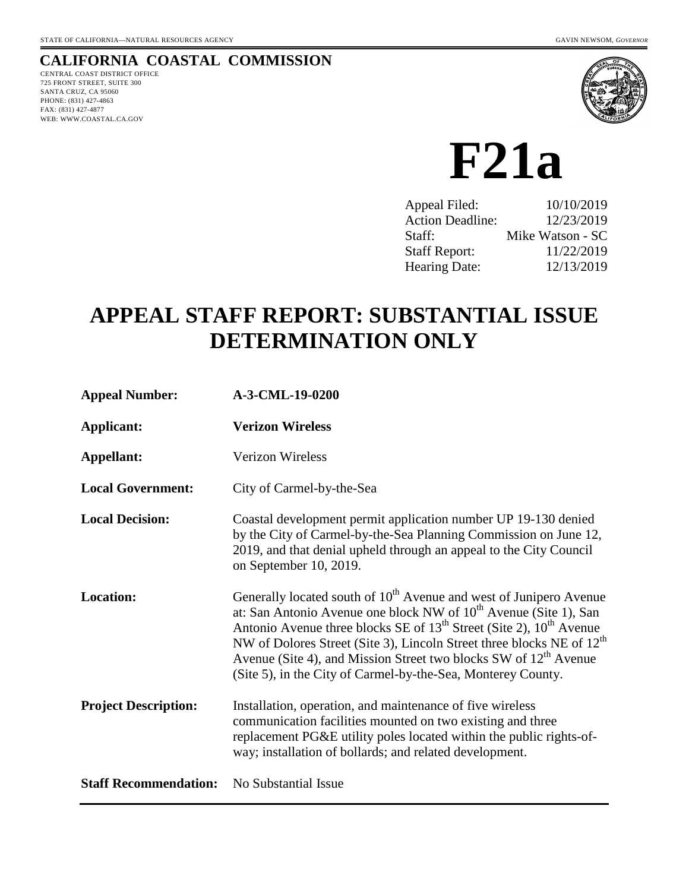# **CALIFORNIA COASTAL COMMISSION**

CENTRAL COAST DISTRICT OFFICE 725 FRONT STREET, SUITE 300 SANTA CRUZ, CA 95060 PHONE: (831) 427-4863 FAX: (831) 427-4877 WEB: WWW.COASTAL.CA.GOV



# **F21a**

| 10/10/2019       |
|------------------|
| 12/23/2019       |
| Mike Watson - SC |
| 11/22/2019       |
| 12/13/2019       |
|                  |

# **APPEAL STAFF REPORT: SUBSTANTIAL ISSUE DETERMINATION ONLY**

| <b>Appeal Number:</b>        | A-3-CML-19-0200                                                                                                                                                                                                                                                                                                                                                                                                                                                      |
|------------------------------|----------------------------------------------------------------------------------------------------------------------------------------------------------------------------------------------------------------------------------------------------------------------------------------------------------------------------------------------------------------------------------------------------------------------------------------------------------------------|
| <b>Applicant:</b>            | <b>Verizon Wireless</b>                                                                                                                                                                                                                                                                                                                                                                                                                                              |
| Appellant:                   | Verizon Wireless                                                                                                                                                                                                                                                                                                                                                                                                                                                     |
| <b>Local Government:</b>     | City of Carmel-by-the-Sea                                                                                                                                                                                                                                                                                                                                                                                                                                            |
| <b>Local Decision:</b>       | Coastal development permit application number UP 19-130 denied<br>by the City of Carmel-by-the-Sea Planning Commission on June 12,<br>2019, and that denial upheld through an appeal to the City Council<br>on September 10, 2019.                                                                                                                                                                                                                                   |
| <b>Location:</b>             | Generally located south of 10 <sup>th</sup> Avenue and west of Junipero Avenue<br>at: San Antonio Avenue one block NW of 10 <sup>th</sup> Avenue (Site 1), San<br>Antonio Avenue three blocks SE of $13th$ Street (Site 2), $10th$ Avenue<br>NW of Dolores Street (Site 3), Lincoln Street three blocks NE of $12th$<br>Avenue (Site 4), and Mission Street two blocks SW of 12 <sup>th</sup> Avenue<br>(Site 5), in the City of Carmel-by-the-Sea, Monterey County. |
| <b>Project Description:</b>  | Installation, operation, and maintenance of five wireless<br>communication facilities mounted on two existing and three<br>replacement PG&E utility poles located within the public rights-of-<br>way; installation of bollards; and related development.                                                                                                                                                                                                            |
| <b>Staff Recommendation:</b> | No Substantial Issue                                                                                                                                                                                                                                                                                                                                                                                                                                                 |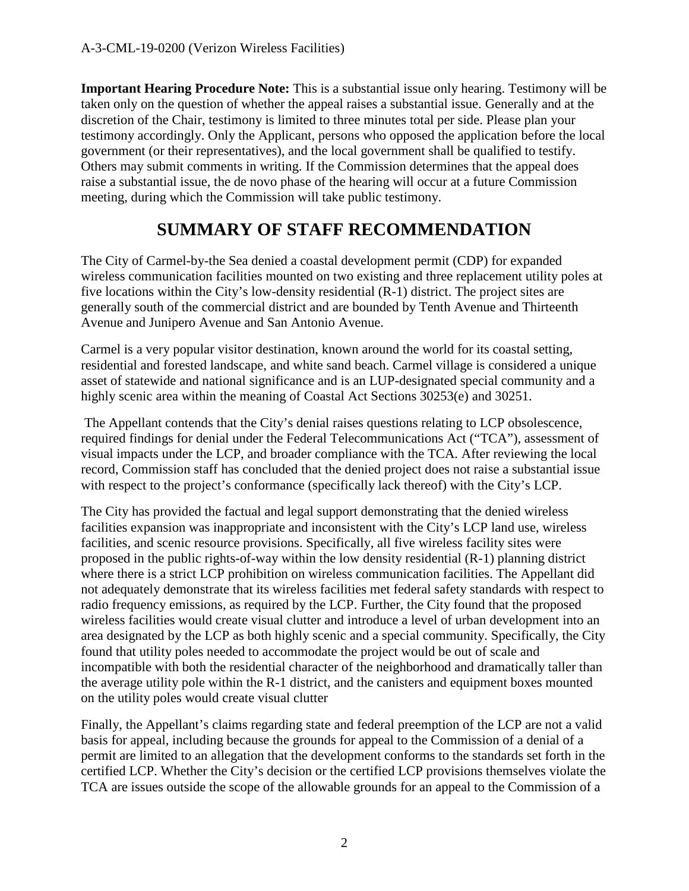**Important Hearing Procedure Note:** This is a substantial issue only hearing. Testimony will be taken only on the question of whether the appeal raises a substantial issue. Generally and at the discretion of the Chair, testimony is limited to three minutes total per side. Please plan your testimony accordingly. Only the Applicant, persons who opposed the application before the local government (or their representatives), and the local government shall be qualified to testify. Others may submit comments in writing. If the Commission determines that the appeal does raise a substantial issue, the de novo phase of the hearing will occur at a future Commission meeting, during which the Commission will take public testimony.

# **SUMMARY OF STAFF RECOMMENDATION**

The City of Carmel-by-the Sea denied a coastal development permit (CDP) for expanded wireless communication facilities mounted on two existing and three replacement utility poles at five locations within the City's low-density residential (R-1) district. The project sites are generally south of the commercial district and are bounded by Tenth Avenue and Thirteenth Avenue and Junipero Avenue and San Antonio Avenue.

Carmel is a very popular visitor destination, known around the world for its coastal setting, residential and forested landscape, and white sand beach. Carmel village is considered a unique asset of statewide and national significance and is an LUP-designated special community and a highly scenic area within the meaning of Coastal Act Sections 30253(e) and 30251.

The Appellant contends that the City's denial raises questions relating to LCP obsolescence, required findings for denial under the Federal Telecommunications Act ("TCA"), assessment of visual impacts under the LCP, and broader compliance with the TCA. After reviewing the local record, Commission staff has concluded that the denied project does not raise a substantial issue with respect to the project's conformance (specifically lack thereof) with the City's LCP.

The City has provided the factual and legal support demonstrating that the denied wireless facilities expansion was inappropriate and inconsistent with the City's LCP land use, wireless facilities, and scenic resource provisions. Specifically, all five wireless facility sites were proposed in the public rights-of-way within the low density residential (R-1) planning district where there is a strict LCP prohibition on wireless communication facilities. The Appellant did not adequately demonstrate that its wireless facilities met federal safety standards with respect to radio frequency emissions, as required by the LCP. Further, the City found that the proposed wireless facilities would create visual clutter and introduce a level of urban development into an area designated by the LCP as both highly scenic and a special community. Specifically, the City found that utility poles needed to accommodate the project would be out of scale and incompatible with both the residential character of the neighborhood and dramatically taller than the average utility pole within the R-1 district, and the canisters and equipment boxes mounted on the utility poles would create visual clutter

Finally, the Appellant's claims regarding state and federal preemption of the LCP are not a valid basis for appeal, including because the grounds for appeal to the Commission of a denial of a permit are limited to an allegation that the development conforms to the standards set forth in the certified LCP. Whether the City's decision or the certified LCP provisions themselves violate the TCA are issues outside the scope of the allowable grounds for an appeal to the Commission of a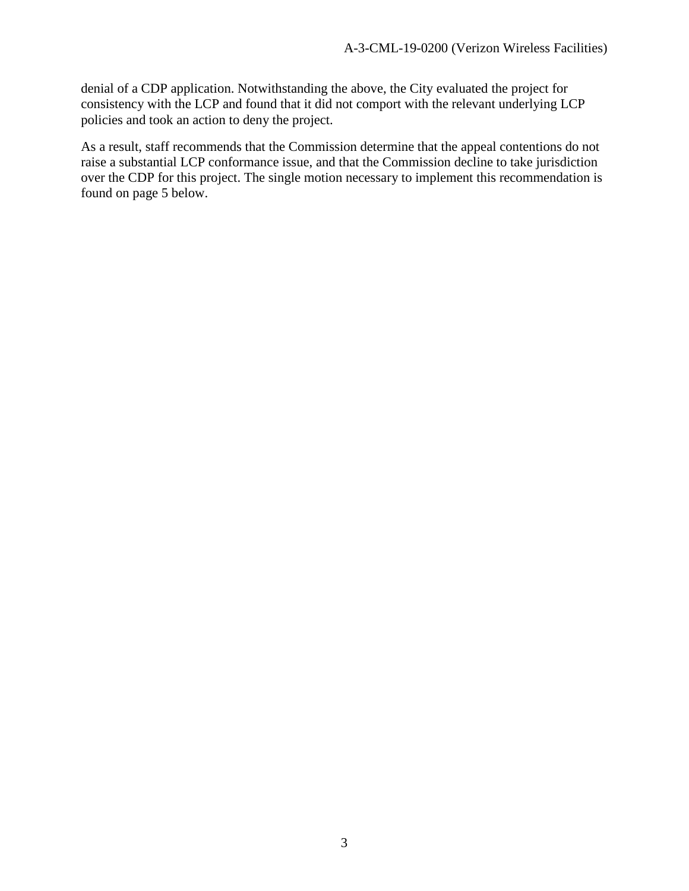denial of a CDP application. Notwithstanding the above, the City evaluated the project for consistency with the LCP and found that it did not comport with the relevant underlying LCP policies and took an action to deny the project.

As a result, staff recommends that the Commission determine that the appeal contentions do not raise a substantial LCP conformance issue, and that the Commission decline to take jurisdiction over the CDP for this project. The single motion necessary to implement this recommendation is found on page 5 below.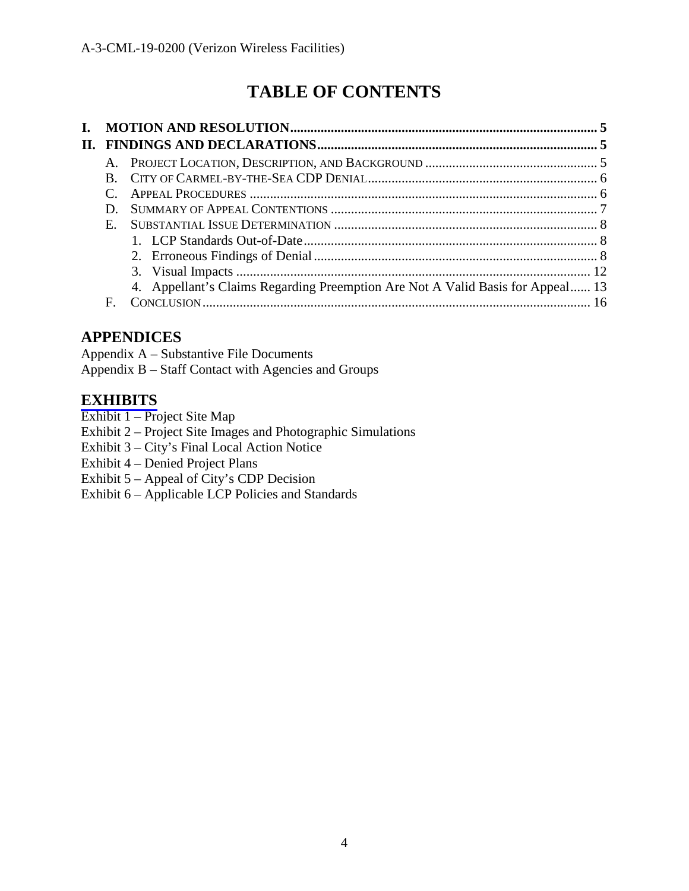# **TABLE OF CONTENTS**

| Ъ. |             |                                                                                |  |
|----|-------------|--------------------------------------------------------------------------------|--|
|    |             |                                                                                |  |
|    |             |                                                                                |  |
|    |             |                                                                                |  |
|    |             |                                                                                |  |
|    | D           |                                                                                |  |
|    | $E_{\perp}$ |                                                                                |  |
|    |             |                                                                                |  |
|    |             |                                                                                |  |
|    |             |                                                                                |  |
|    |             | 4. Appellant's Claims Regarding Preemption Are Not A Valid Basis for Appeal 13 |  |
|    | F           |                                                                                |  |

# **APPENDICES**

Appendix A – Substantive File Documents Appendix B – Staff Contact with Agencies and Groups

# **[EXHIBITS](https://documents.coastal.ca.gov/reports/2019/12/F21a/F21a-12-2019-exhibits.pdf)**

- Exhibit 1 Project Site Map
- Exhibit 2 Project Site Images and Photographic Simulations
- Exhibit 3 City's Final Local Action Notice
- Exhibit 4 Denied Project Plans
- Exhibit 5 Appeal of City's CDP Decision
- Exhibit 6 Applicable LCP Policies and Standards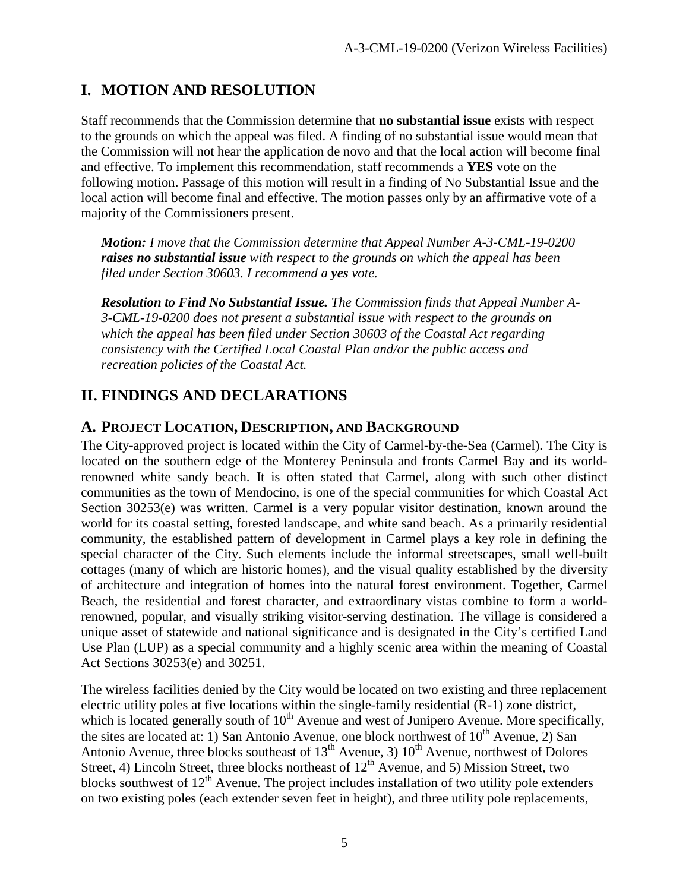# **I. MOTION AND RESOLUTION**

Staff recommends that the Commission determine that **no substantial issue** exists with respect to the grounds on which the appeal was filed. A finding of no substantial issue would mean that the Commission will not hear the application de novo and that the local action will become final and effective. To implement this recommendation, staff recommends a **YES** vote on the following motion. Passage of this motion will result in a finding of No Substantial Issue and the local action will become final and effective. The motion passes only by an affirmative vote of a majority of the Commissioners present.

*Motion: I move that the Commission determine that Appeal Number A-3-CML-19-0200 raises no substantial issue with respect to the grounds on which the appeal has been filed under Section 30603. I recommend a yes vote.*

*Resolution to Find No Substantial Issue. The Commission finds that Appeal Number A-3-CML-19-0200 does not present a substantial issue with respect to the grounds on which the appeal has been filed under Section 30603 of the Coastal Act regarding consistency with the Certified Local Coastal Plan and/or the public access and recreation policies of the Coastal Act.*

# **II. FINDINGS AND DECLARATIONS**

#### **A. PROJECT LOCATION, DESCRIPTION, AND BACKGROUND**

The City-approved project is located within the City of Carmel-by-the-Sea (Carmel). The City is located on the southern edge of the Monterey Peninsula and fronts Carmel Bay and its worldrenowned white sandy beach. It is often stated that Carmel, along with such other distinct communities as the town of Mendocino, is one of the special communities for which Coastal Act Section 30253(e) was written. Carmel is a very popular visitor destination, known around the world for its coastal setting, forested landscape, and white sand beach. As a primarily residential community, the established pattern of development in Carmel plays a key role in defining the special character of the City. Such elements include the informal streetscapes, small well-built cottages (many of which are historic homes), and the visual quality established by the diversity of architecture and integration of homes into the natural forest environment. Together, Carmel Beach, the residential and forest character, and extraordinary vistas combine to form a worldrenowned, popular, and visually striking visitor-serving destination. The village is considered a unique asset of statewide and national significance and is designated in the City's certified Land Use Plan (LUP) as a special community and a highly scenic area within the meaning of Coastal Act Sections 30253(e) and 30251.

The wireless facilities denied by the City would be located on two existing and three replacement electric utility poles at five locations within the single-family residential (R-1) zone district, which is located generally south of  $10<sup>th</sup>$  Avenue and west of Junipero Avenue. More specifically, the sites are located at: 1) San Antonio Avenue, one block northwest of  $10^{th}$  Avenue, 2) San Antonio Avenue, three blocks southeast of  $13<sup>th</sup>$  Avenue, 3)  $10<sup>th</sup>$  Avenue, northwest of Dolores Street, 4) Lincoln Street, three blocks northeast of  $12<sup>th</sup>$  Avenue, and 5) Mission Street, two blocks southwest of  $12<sup>th</sup>$  Avenue. The project includes installation of two utility pole extenders on two existing poles (each extender seven feet in height), and three utility pole replacements,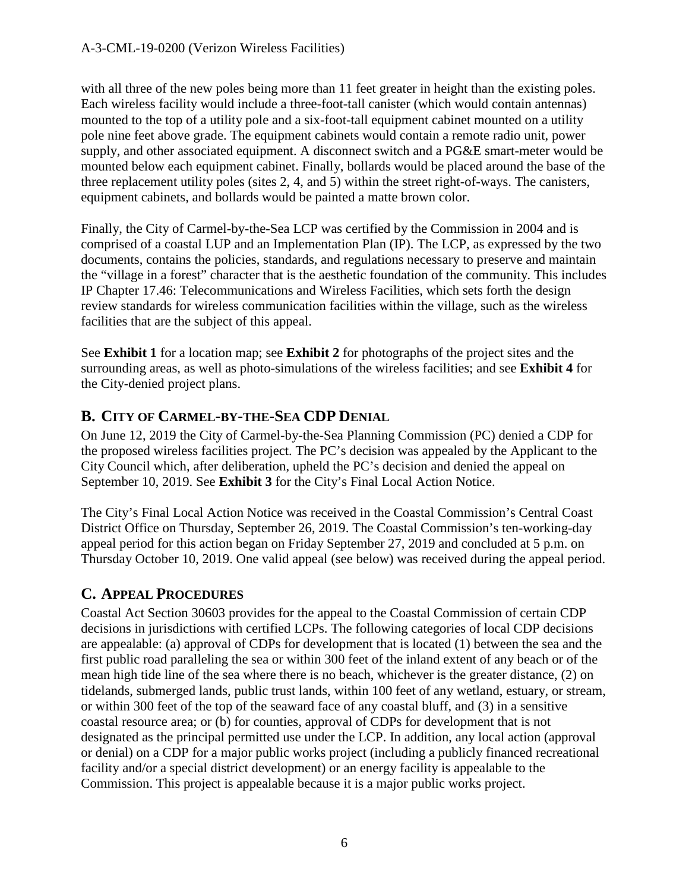with all three of the new poles being more than 11 feet greater in height than the existing poles. Each wireless facility would include a three-foot-tall canister (which would contain antennas) mounted to the top of a utility pole and a six-foot-tall equipment cabinet mounted on a utility pole nine feet above grade. The equipment cabinets would contain a remote radio unit, power supply, and other associated equipment. A disconnect switch and a PG&E smart-meter would be mounted below each equipment cabinet. Finally, bollards would be placed around the base of the three replacement utility poles (sites 2, 4, and 5) within the street right-of-ways. The canisters, equipment cabinets, and bollards would be painted a matte brown color.

Finally, the City of Carmel-by-the-Sea LCP was certified by the Commission in 2004 and is comprised of a coastal LUP and an Implementation Plan (IP). The LCP, as expressed by the two documents, contains the policies, standards, and regulations necessary to preserve and maintain the "village in a forest" character that is the aesthetic foundation of the community. This includes IP Chapter 17.46: Telecommunications and Wireless Facilities, which sets forth the design review standards for wireless communication facilities within the village, such as the wireless facilities that are the subject of this appeal.

See **Exhibit 1** for a location map; see **Exhibit 2** for photographs of the project sites and the surrounding areas, as well as photo-simulations of the wireless facilities; and see **Exhibit 4** for the City-denied project plans.

# **B. CITY OF CARMEL-BY-THE-SEA CDP DENIAL**

On June 12, 2019 the City of Carmel-by-the-Sea Planning Commission (PC) denied a CDP for the proposed wireless facilities project. The PC's decision was appealed by the Applicant to the City Council which, after deliberation, upheld the PC's decision and denied the appeal on September 10, 2019. See **Exhibit 3** for the City's Final Local Action Notice.

The City's Final Local Action Notice was received in the Coastal Commission's Central Coast District Office on Thursday, September 26, 2019. The Coastal Commission's ten-working-day appeal period for this action began on Friday September 27, 2019 and concluded at 5 p.m. on Thursday October 10, 2019. One valid appeal (see below) was received during the appeal period.

# **C. APPEAL PROCEDURES**

Coastal Act Section 30603 provides for the appeal to the Coastal Commission of certain CDP decisions in jurisdictions with certified LCPs. The following categories of local CDP decisions are appealable: (a) approval of CDPs for development that is located (1) between the sea and the first public road paralleling the sea or within 300 feet of the inland extent of any beach or of the mean high tide line of the sea where there is no beach, whichever is the greater distance, (2) on tidelands, submerged lands, public trust lands, within 100 feet of any wetland, estuary, or stream, or within 300 feet of the top of the seaward face of any coastal bluff, and (3) in a sensitive coastal resource area; or (b) for counties, approval of CDPs for development that is not designated as the principal permitted use under the LCP. In addition, any local action (approval or denial) on a CDP for a major public works project (including a publicly financed recreational facility and/or a special district development) or an energy facility is appealable to the Commission. This project is appealable because it is a major public works project.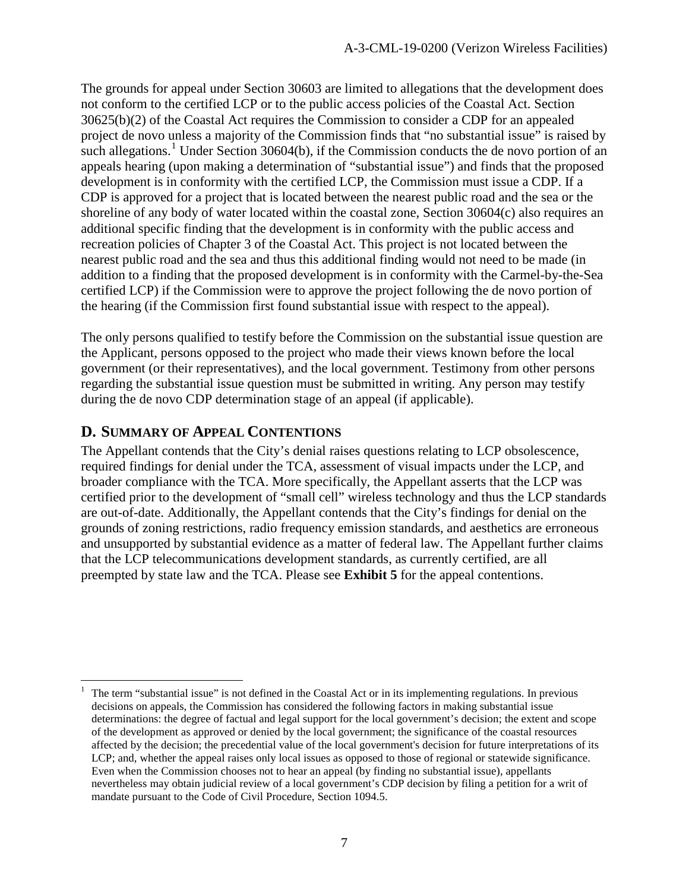The grounds for appeal under Section 30603 are limited to allegations that the development does not conform to the certified LCP or to the public access policies of the Coastal Act. Section 30625(b)(2) of the Coastal Act requires the Commission to consider a CDP for an appealed project de novo unless a majority of the Commission finds that "no substantial issue" is raised by such allegations.<sup>[1](#page-6-0)</sup> Under Section 30604(b), if the Commission conducts the de novo portion of an appeals hearing (upon making a determination of "substantial issue") and finds that the proposed development is in conformity with the certified LCP, the Commission must issue a CDP. If a CDP is approved for a project that is located between the nearest public road and the sea or the shoreline of any body of water located within the coastal zone, Section 30604(c) also requires an additional specific finding that the development is in conformity with the public access and recreation policies of Chapter 3 of the Coastal Act. This project is not located between the nearest public road and the sea and thus this additional finding would not need to be made (in addition to a finding that the proposed development is in conformity with the Carmel-by-the-Sea certified LCP) if the Commission were to approve the project following the de novo portion of the hearing (if the Commission first found substantial issue with respect to the appeal).

The only persons qualified to testify before the Commission on the substantial issue question are the Applicant, persons opposed to the project who made their views known before the local government (or their representatives), and the local government. Testimony from other persons regarding the substantial issue question must be submitted in writing. Any person may testify during the de novo CDP determination stage of an appeal (if applicable).

## **D. SUMMARY OF APPEAL CONTENTIONS**

The Appellant contends that the City's denial raises questions relating to LCP obsolescence, required findings for denial under the TCA, assessment of visual impacts under the LCP, and broader compliance with the TCA. More specifically, the Appellant asserts that the LCP was certified prior to the development of "small cell" wireless technology and thus the LCP standards are out-of-date. Additionally, the Appellant contends that the City's findings for denial on the grounds of zoning restrictions, radio frequency emission standards, and aesthetics are erroneous and unsupported by substantial evidence as a matter of federal law. The Appellant further claims that the LCP telecommunications development standards, as currently certified, are all preempted by state law and the TCA. Please see **Exhibit 5** for the appeal contentions.

<span id="page-6-0"></span> <sup>1</sup> The term "substantial issue" is not defined in the Coastal Act or in its implementing regulations. In previous decisions on appeals, the Commission has considered the following factors in making substantial issue determinations: the degree of factual and legal support for the local government's decision; the extent and scope of the development as approved or denied by the local government; the significance of the coastal resources affected by the decision; the precedential value of the local government's decision for future interpretations of its LCP; and, whether the appeal raises only local issues as opposed to those of regional or statewide significance. Even when the Commission chooses not to hear an appeal (by finding no substantial issue), appellants nevertheless may obtain judicial review of a local government's CDP decision by filing a petition for a writ of mandate pursuant to the Code of Civil Procedure, Section 1094.5.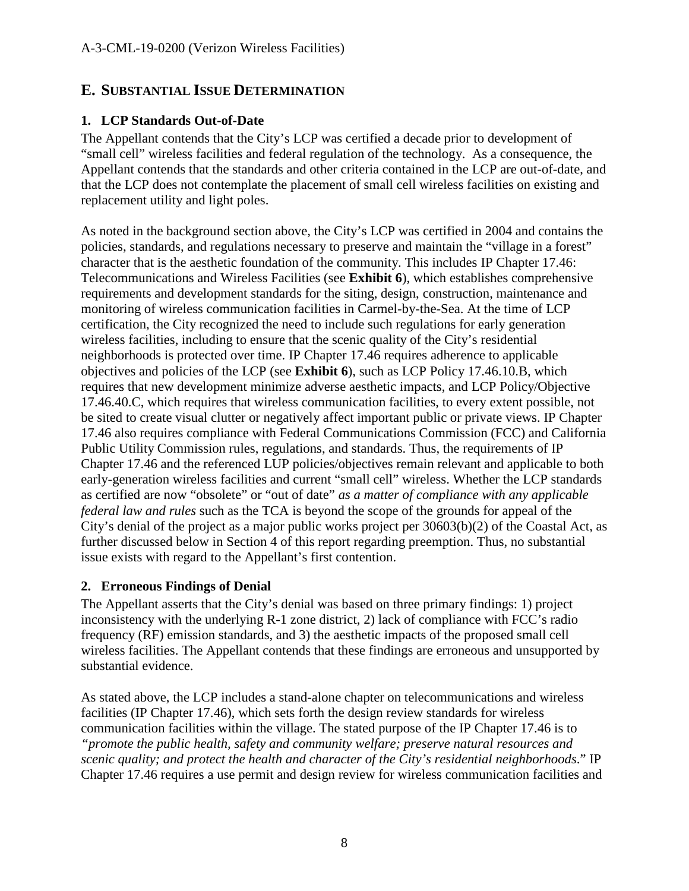#### **E. SUBSTANTIAL ISSUE DETERMINATION**

#### **1. LCP Standards Out-of-Date**

The Appellant contends that the City's LCP was certified a decade prior to development of "small cell" wireless facilities and federal regulation of the technology. As a consequence, the Appellant contends that the standards and other criteria contained in the LCP are out-of-date, and that the LCP does not contemplate the placement of small cell wireless facilities on existing and replacement utility and light poles.

As noted in the background section above, the City's LCP was certified in 2004 and contains the policies, standards, and regulations necessary to preserve and maintain the "village in a forest" character that is the aesthetic foundation of the community. This includes IP Chapter 17.46: Telecommunications and Wireless Facilities (see **Exhibit 6**), which establishes comprehensive requirements and development standards for the siting, design, construction, maintenance and monitoring of wireless communication facilities in Carmel-by-the-Sea. At the time of LCP certification, the City recognized the need to include such regulations for early generation wireless facilities, including to ensure that the scenic quality of the City's residential neighborhoods is protected over time. IP Chapter 17.46 requires adherence to applicable objectives and policies of the LCP (see **Exhibit 6**), such as LCP Policy 17.46.10.B, which requires that new development minimize adverse aesthetic impacts, and LCP Policy/Objective 17.46.40.C, which requires that wireless communication facilities, to every extent possible, not be sited to create visual clutter or negatively affect important public or private views. IP Chapter 17.46 also requires compliance with Federal Communications Commission (FCC) and California Public Utility Commission rules, regulations, and standards. Thus, the requirements of IP Chapter 17.46 and the referenced LUP policies/objectives remain relevant and applicable to both early-generation wireless facilities and current "small cell" wireless. Whether the LCP standards as certified are now "obsolete" or "out of date" *as a matter of compliance with any applicable federal law and rules* such as the TCA is beyond the scope of the grounds for appeal of the City's denial of the project as a major public works project per 30603(b)(2) of the Coastal Act, as further discussed below in Section 4 of this report regarding preemption. Thus, no substantial issue exists with regard to the Appellant's first contention.

#### **2. Erroneous Findings of Denial**

The Appellant asserts that the City's denial was based on three primary findings: 1) project inconsistency with the underlying R-1 zone district, 2) lack of compliance with FCC's radio frequency (RF) emission standards, and 3) the aesthetic impacts of the proposed small cell wireless facilities. The Appellant contends that these findings are erroneous and unsupported by substantial evidence.

As stated above, the LCP includes a stand-alone chapter on telecommunications and wireless facilities (IP Chapter 17.46), which sets forth the design review standards for wireless communication facilities within the village. The stated purpose of the IP Chapter 17.46 is to *"promote the public health, safety and community welfare; preserve natural resources and scenic quality; and protect the health and character of the City's residential neighborhoods*." IP Chapter 17.46 requires a use permit and design review for wireless communication facilities and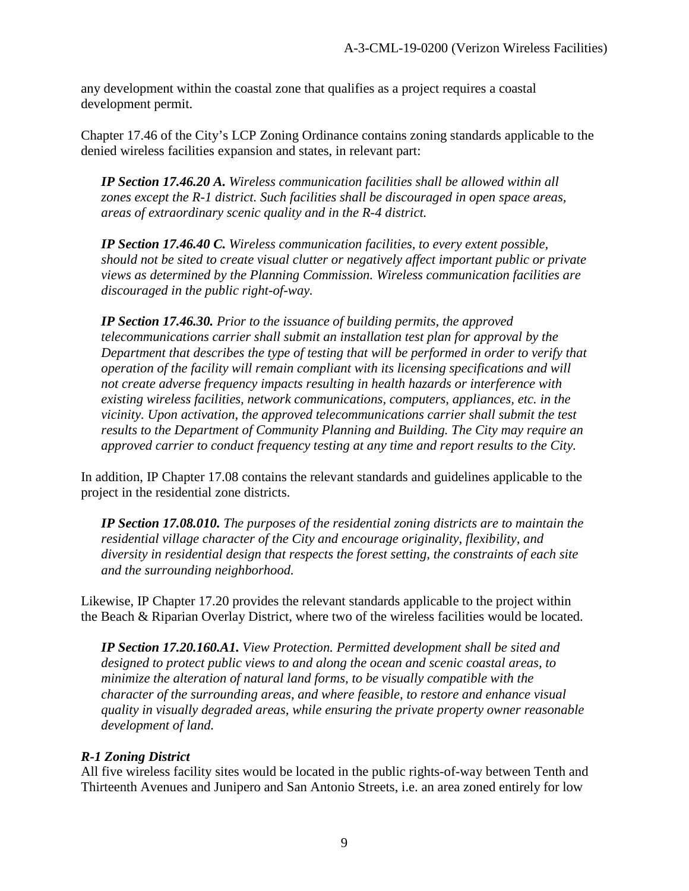any development within the coastal zone that qualifies as a project requires a coastal development permit.

Chapter 17.46 of the City's LCP Zoning Ordinance contains zoning standards applicable to the denied wireless facilities expansion and states, in relevant part:

*IP Section 17.46.20 A. Wireless communication facilities shall be allowed within all zones except the R-1 district. Such facilities shall be discouraged in open space areas, areas of extraordinary scenic quality and in the R-4 district.* 

*IP Section 17.46.40 C. Wireless communication facilities, to every extent possible, should not be sited to create visual clutter or negatively affect important public or private views as determined by the Planning Commission. Wireless communication facilities are discouraged in the public right-of-way.*

*IP Section 17.46.30. Prior to the issuance of building permits, the approved telecommunications carrier shall submit an installation test plan for approval by the Department that describes the type of testing that will be performed in order to verify that operation of the facility will remain compliant with its licensing specifications and will not create adverse frequency impacts resulting in health hazards or interference with existing wireless facilities, network communications, computers, appliances, etc. in the vicinity. Upon activation, the approved telecommunications carrier shall submit the test results to the Department of Community Planning and Building. The City may require an approved carrier to conduct frequency testing at any time and report results to the City.*

In addition, IP Chapter 17.08 contains the relevant standards and guidelines applicable to the project in the residential zone districts.

*IP Section 17.08.010. The purposes of the residential zoning districts are to maintain the residential village character of the City and encourage originality, flexibility, and diversity in residential design that respects the forest setting, the constraints of each site and the surrounding neighborhood.* 

Likewise, IP Chapter 17.20 provides the relevant standards applicable to the project within the Beach & Riparian Overlay District, where two of the wireless facilities would be located.

*IP Section 17.20.160.A1. View Protection. Permitted development shall be sited and designed to protect public views to and along the ocean and scenic coastal areas, to minimize the alteration of natural land forms, to be visually compatible with the character of the surrounding areas, and where feasible, to restore and enhance visual quality in visually degraded areas, while ensuring the private property owner reasonable development of land.* 

#### *R-1 Zoning District*

All five wireless facility sites would be located in the public rights-of-way between Tenth and Thirteenth Avenues and Junipero and San Antonio Streets, i.e. an area zoned entirely for low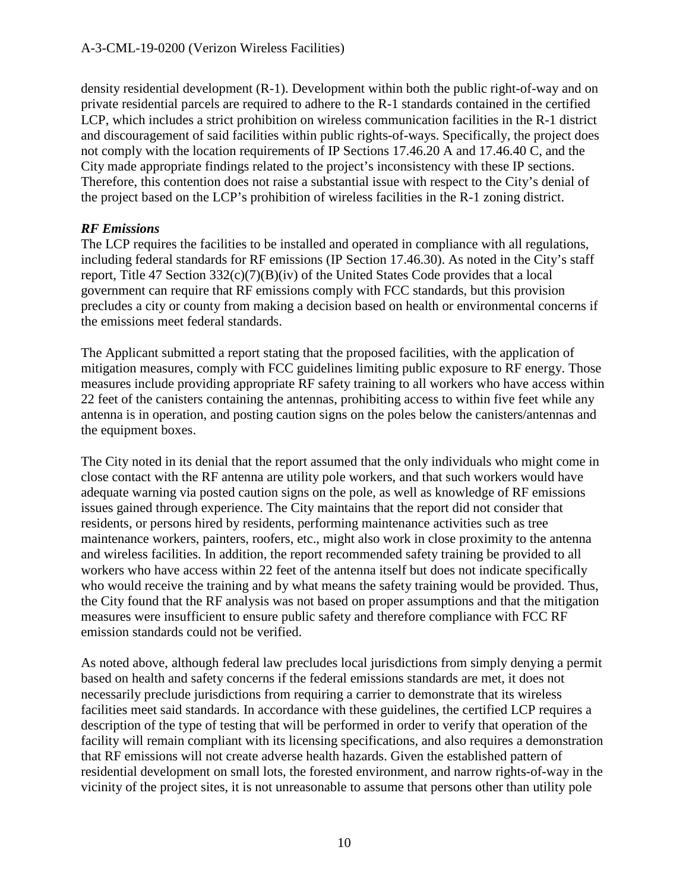density residential development (R-1). Development within both the public right-of-way and on private residential parcels are required to adhere to the R-1 standards contained in the certified LCP, which includes a strict prohibition on wireless communication facilities in the R-1 district and discouragement of said facilities within public rights-of-ways. Specifically, the project does not comply with the location requirements of IP Sections 17.46.20 A and 17.46.40 C, and the City made appropriate findings related to the project's inconsistency with these IP sections. Therefore, this contention does not raise a substantial issue with respect to the City's denial of the project based on the LCP's prohibition of wireless facilities in the R-1 zoning district.

#### *RF Emissions*

The LCP requires the facilities to be installed and operated in compliance with all regulations, including federal standards for RF emissions (IP Section 17.46.30). As noted in the City's staff report, Title 47 Section 332(c)(7)(B)(iv) of the United States Code provides that a local government can require that RF emissions comply with FCC standards, but this provision precludes a city or county from making a decision based on health or environmental concerns if the emissions meet federal standards.

The Applicant submitted a report stating that the proposed facilities, with the application of mitigation measures, comply with FCC guidelines limiting public exposure to RF energy. Those measures include providing appropriate RF safety training to all workers who have access within 22 feet of the canisters containing the antennas, prohibiting access to within five feet while any antenna is in operation, and posting caution signs on the poles below the canisters/antennas and the equipment boxes.

The City noted in its denial that the report assumed that the only individuals who might come in close contact with the RF antenna are utility pole workers, and that such workers would have adequate warning via posted caution signs on the pole, as well as knowledge of RF emissions issues gained through experience. The City maintains that the report did not consider that residents, or persons hired by residents, performing maintenance activities such as tree maintenance workers, painters, roofers, etc., might also work in close proximity to the antenna and wireless facilities. In addition, the report recommended safety training be provided to all workers who have access within 22 feet of the antenna itself but does not indicate specifically who would receive the training and by what means the safety training would be provided. Thus, the City found that the RF analysis was not based on proper assumptions and that the mitigation measures were insufficient to ensure public safety and therefore compliance with FCC RF emission standards could not be verified.

As noted above, although federal law precludes local jurisdictions from simply denying a permit based on health and safety concerns if the federal emissions standards are met, it does not necessarily preclude jurisdictions from requiring a carrier to demonstrate that its wireless facilities meet said standards. In accordance with these guidelines, the certified LCP requires a description of the type of testing that will be performed in order to verify that operation of the facility will remain compliant with its licensing specifications, and also requires a demonstration that RF emissions will not create adverse health hazards. Given the established pattern of residential development on small lots, the forested environment, and narrow rights-of-way in the vicinity of the project sites, it is not unreasonable to assume that persons other than utility pole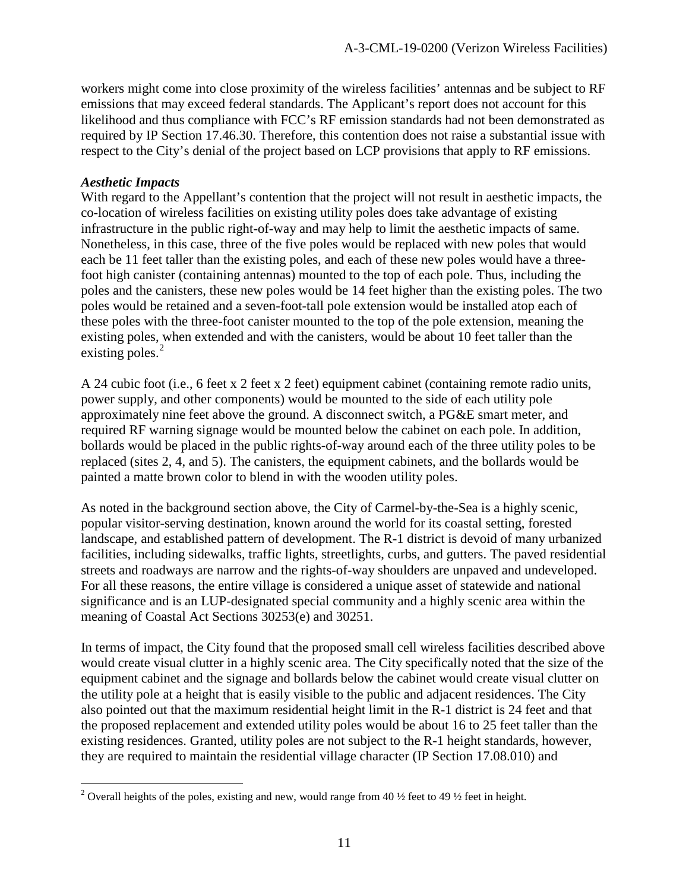workers might come into close proximity of the wireless facilities' antennas and be subject to RF emissions that may exceed federal standards. The Applicant's report does not account for this likelihood and thus compliance with FCC's RF emission standards had not been demonstrated as required by IP Section 17.46.30. Therefore, this contention does not raise a substantial issue with respect to the City's denial of the project based on LCP provisions that apply to RF emissions.

#### *Aesthetic Impacts*

With regard to the Appellant's contention that the project will not result in aesthetic impacts, the co-location of wireless facilities on existing utility poles does take advantage of existing infrastructure in the public right-of-way and may help to limit the aesthetic impacts of same. Nonetheless, in this case, three of the five poles would be replaced with new poles that would each be 11 feet taller than the existing poles, and each of these new poles would have a threefoot high canister (containing antennas) mounted to the top of each pole. Thus, including the poles and the canisters, these new poles would be 14 feet higher than the existing poles. The two poles would be retained and a seven-foot-tall pole extension would be installed atop each of these poles with the three-foot canister mounted to the top of the pole extension, meaning the existing poles, when extended and with the canisters, would be about 10 feet taller than the existing poles.<sup>[2](#page-10-0)</sup>

A 24 cubic foot (i.e., 6 feet x 2 feet x 2 feet) equipment cabinet (containing remote radio units, power supply, and other components) would be mounted to the side of each utility pole approximately nine feet above the ground. A disconnect switch, a PG&E smart meter, and required RF warning signage would be mounted below the cabinet on each pole. In addition, bollards would be placed in the public rights-of-way around each of the three utility poles to be replaced (sites 2, 4, and 5). The canisters, the equipment cabinets, and the bollards would be painted a matte brown color to blend in with the wooden utility poles.

As noted in the background section above, the City of Carmel-by-the-Sea is a highly scenic, popular visitor-serving destination, known around the world for its coastal setting, forested landscape, and established pattern of development. The R-1 district is devoid of many urbanized facilities, including sidewalks, traffic lights, streetlights, curbs, and gutters. The paved residential streets and roadways are narrow and the rights-of-way shoulders are unpaved and undeveloped. For all these reasons, the entire village is considered a unique asset of statewide and national significance and is an LUP-designated special community and a highly scenic area within the meaning of Coastal Act Sections 30253(e) and 30251.

In terms of impact, the City found that the proposed small cell wireless facilities described above would create visual clutter in a highly scenic area. The City specifically noted that the size of the equipment cabinet and the signage and bollards below the cabinet would create visual clutter on the utility pole at a height that is easily visible to the public and adjacent residences. The City also pointed out that the maximum residential height limit in the R-1 district is 24 feet and that the proposed replacement and extended utility poles would be about 16 to 25 feet taller than the existing residences. Granted, utility poles are not subject to the R-1 height standards, however, they are required to maintain the residential village character (IP Section 17.08.010) and

<span id="page-10-0"></span><sup>&</sup>lt;sup>2</sup> Overall heights of the poles, existing and new, would range from 40  $\frac{1}{2}$  feet to 49  $\frac{1}{2}$  feet in height.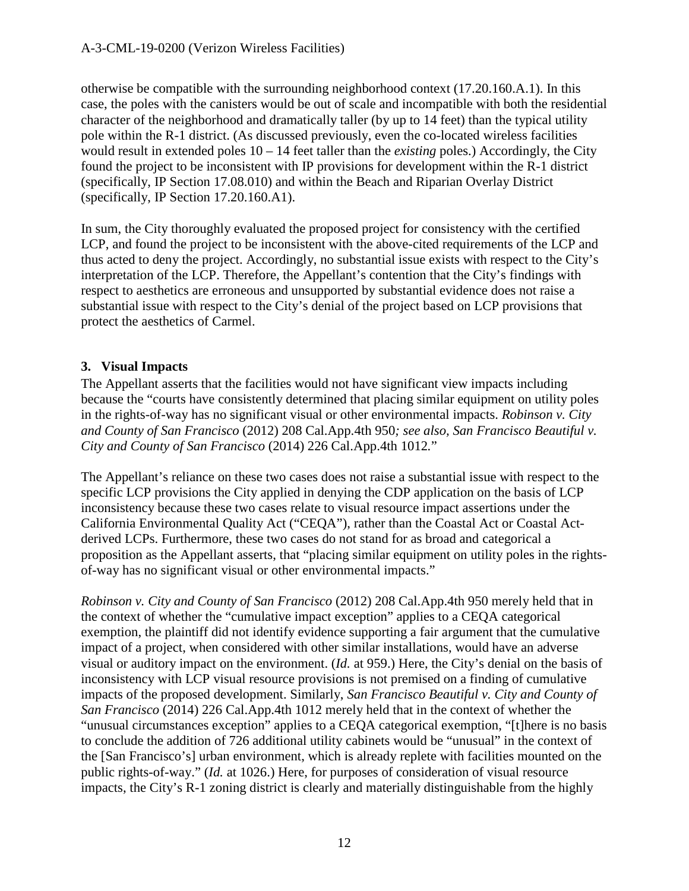otherwise be compatible with the surrounding neighborhood context (17.20.160.A.1). In this case, the poles with the canisters would be out of scale and incompatible with both the residential character of the neighborhood and dramatically taller (by up to 14 feet) than the typical utility pole within the R-1 district. (As discussed previously, even the co-located wireless facilities would result in extended poles 10 – 14 feet taller than the *existing* poles.) Accordingly, the City found the project to be inconsistent with IP provisions for development within the R-1 district (specifically, IP Section 17.08.010) and within the Beach and Riparian Overlay District (specifically, IP Section 17.20.160.A1).

In sum, the City thoroughly evaluated the proposed project for consistency with the certified LCP, and found the project to be inconsistent with the above-cited requirements of the LCP and thus acted to deny the project. Accordingly, no substantial issue exists with respect to the City's interpretation of the LCP. Therefore, the Appellant's contention that the City's findings with respect to aesthetics are erroneous and unsupported by substantial evidence does not raise a substantial issue with respect to the City's denial of the project based on LCP provisions that protect the aesthetics of Carmel.

#### **3. Visual Impacts**

The Appellant asserts that the facilities would not have significant view impacts including because the "courts have consistently determined that placing similar equipment on utility poles in the rights-of-way has no significant visual or other environmental impacts. *Robinson v. City and County of San Francisco* (2012) 208 Cal.App.4th 950*; see also, San Francisco Beautiful v. City and County of San Francisco* (2014) 226 Cal.App.4th 1012*.*"

The Appellant's reliance on these two cases does not raise a substantial issue with respect to the specific LCP provisions the City applied in denying the CDP application on the basis of LCP inconsistency because these two cases relate to visual resource impact assertions under the California Environmental Quality Act ("CEQA"), rather than the Coastal Act or Coastal Actderived LCPs. Furthermore, these two cases do not stand for as broad and categorical a proposition as the Appellant asserts, that "placing similar equipment on utility poles in the rightsof-way has no significant visual or other environmental impacts."

*Robinson v. City and County of San Francisco* (2012) 208 Cal.App.4th 950 merely held that in the context of whether the "cumulative impact exception" applies to a CEQA categorical exemption, the plaintiff did not identify evidence supporting a fair argument that the cumulative impact of a project, when considered with other similar installations, would have an adverse visual or auditory impact on the environment. (*Id.* at 959.) Here, the City's denial on the basis of inconsistency with LCP visual resource provisions is not premised on a finding of cumulative impacts of the proposed development. Similarly, *San Francisco Beautiful v. City and County of San Francisco* (2014) 226 Cal.App.4th 1012 merely held that in the context of whether the "unusual circumstances exception" applies to a CEQA categorical exemption, "[t]here is no basis to conclude the addition of 726 additional utility cabinets would be "unusual" in the context of the [San Francisco's] urban environment, which is already replete with facilities mounted on the public rights-of-way." (*Id.* at 1026.) Here, for purposes of consideration of visual resource impacts, the City's R-1 zoning district is clearly and materially distinguishable from the highly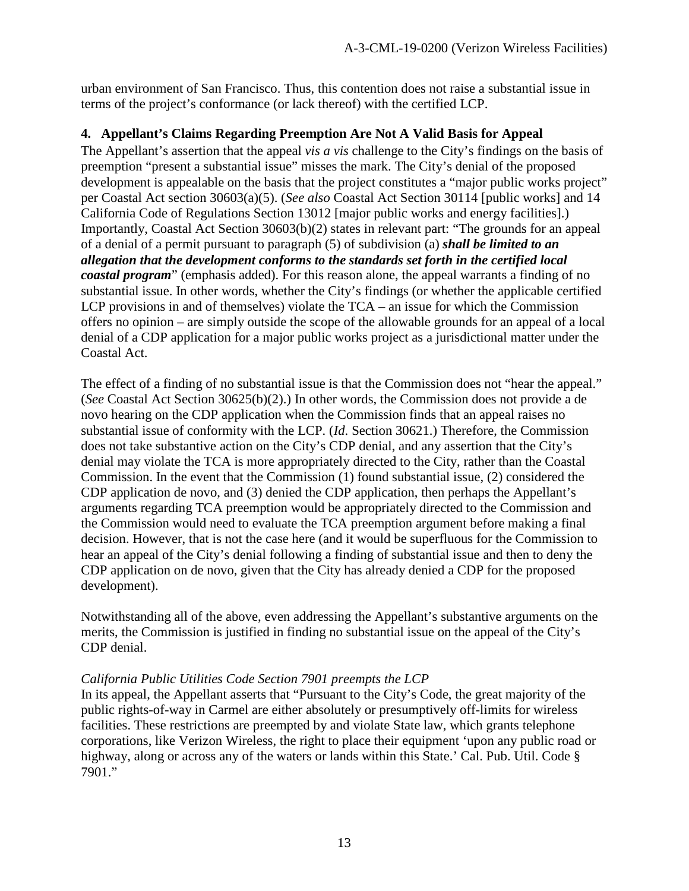urban environment of San Francisco. Thus, this contention does not raise a substantial issue in terms of the project's conformance (or lack thereof) with the certified LCP.

#### **4. Appellant's Claims Regarding Preemption Are Not A Valid Basis for Appeal**

The Appellant's assertion that the appeal *vis a vis* challenge to the City's findings on the basis of preemption "present a substantial issue" misses the mark. The City's denial of the proposed development is appealable on the basis that the project constitutes a "major public works project" per Coastal Act section 30603(a)(5). (*See also* Coastal Act Section 30114 [public works] and 14 California Code of Regulations Section 13012 [major public works and energy facilities].) Importantly, Coastal Act Section 30603(b)(2) states in relevant part: "The grounds for an appeal of a denial of a permit pursuant to paragraph (5) of subdivision (a) *shall be limited to an allegation that the development conforms to the standards set forth in the certified local coastal program*" (emphasis added). For this reason alone, the appeal warrants a finding of no substantial issue. In other words, whether the City's findings (or whether the applicable certified LCP provisions in and of themselves) violate the TCA – an issue for which the Commission offers no opinion – are simply outside the scope of the allowable grounds for an appeal of a local denial of a CDP application for a major public works project as a jurisdictional matter under the Coastal Act.

The effect of a finding of no substantial issue is that the Commission does not "hear the appeal." (*See* Coastal Act Section 30625(b)(2).) In other words, the Commission does not provide a de novo hearing on the CDP application when the Commission finds that an appeal raises no substantial issue of conformity with the LCP. (*Id*. Section 30621.) Therefore, the Commission does not take substantive action on the City's CDP denial, and any assertion that the City's denial may violate the TCA is more appropriately directed to the City, rather than the Coastal Commission. In the event that the Commission (1) found substantial issue, (2) considered the CDP application de novo, and (3) denied the CDP application, then perhaps the Appellant's arguments regarding TCA preemption would be appropriately directed to the Commission and the Commission would need to evaluate the TCA preemption argument before making a final decision. However, that is not the case here (and it would be superfluous for the Commission to hear an appeal of the City's denial following a finding of substantial issue and then to deny the CDP application on de novo, given that the City has already denied a CDP for the proposed development).

Notwithstanding all of the above, even addressing the Appellant's substantive arguments on the merits, the Commission is justified in finding no substantial issue on the appeal of the City's CDP denial.

#### *California Public Utilities Code Section 7901 preempts the LCP*

In its appeal, the Appellant asserts that "Pursuant to the City's Code, the great majority of the public rights-of-way in Carmel are either absolutely or presumptively off-limits for wireless facilities. These restrictions are preempted by and violate State law, which grants telephone corporations, like Verizon Wireless, the right to place their equipment 'upon any public road or highway, along or across any of the waters or lands within this State.' Cal. Pub. Util. Code  $\S$ 7901."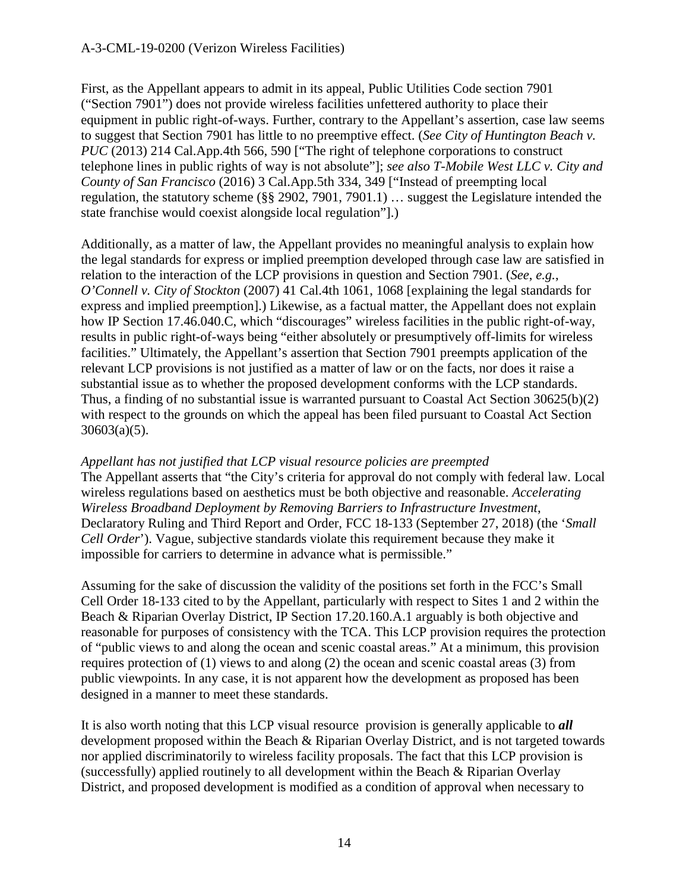#### A-3-CML-19-0200 (Verizon Wireless Facilities)

First, as the Appellant appears to admit in its appeal, Public Utilities Code section 7901 ("Section 7901") does not provide wireless facilities unfettered authority to place their equipment in public right-of-ways. Further, contrary to the Appellant's assertion, case law seems to suggest that Section 7901 has little to no preemptive effect. (*See City of Huntington Beach v. PUC* (2013) 214 Cal.App.4th 566, 590 ["The right of telephone corporations to construct telephone lines in public rights of way is not absolute"]; *see also T-Mobile West LLC v. City and County of San Francisco* (2016) 3 Cal.App.5th 334, 349 ["Instead of preempting local regulation, the statutory scheme (§§ 2902, 7901, 7901.1) … suggest the Legislature intended the state franchise would coexist alongside local regulation"].)

Additionally, as a matter of law, the Appellant provides no meaningful analysis to explain how the legal standards for express or implied preemption developed through case law are satisfied in relation to the interaction of the LCP provisions in question and Section 7901. (*See*, *e.g.*, *O'Connell v. City of Stockton* (2007) 41 Cal.4th 1061, 1068 [explaining the legal standards for express and implied preemption].) Likewise, as a factual matter, the Appellant does not explain how IP Section 17.46.040.C, which "discourages" wireless facilities in the public right-of-way, results in public right-of-ways being "either absolutely or presumptively off-limits for wireless facilities." Ultimately, the Appellant's assertion that Section 7901 preempts application of the relevant LCP provisions is not justified as a matter of law or on the facts, nor does it raise a substantial issue as to whether the proposed development conforms with the LCP standards. Thus, a finding of no substantial issue is warranted pursuant to Coastal Act Section 30625(b)(2) with respect to the grounds on which the appeal has been filed pursuant to Coastal Act Section 30603(a)(5).

#### *Appellant has not justified that LCP visual resource policies are preempted*

The Appellant asserts that "the City's criteria for approval do not comply with federal law. Local wireless regulations based on aesthetics must be both objective and reasonable. *Accelerating Wireless Broadband Deployment by Removing Barriers to Infrastructure Investment*, Declaratory Ruling and Third Report and Order, FCC 18-133 (September 27, 2018) (the '*Small Cell Order*'). Vague, subjective standards violate this requirement because they make it impossible for carriers to determine in advance what is permissible."

Assuming for the sake of discussion the validity of the positions set forth in the FCC's Small Cell Order 18-133 cited to by the Appellant, particularly with respect to Sites 1 and 2 within the Beach & Riparian Overlay District, IP Section 17.20.160.A.1 arguably is both objective and reasonable for purposes of consistency with the TCA. This LCP provision requires the protection of "public views to and along the ocean and scenic coastal areas." At a minimum, this provision requires protection of (1) views to and along (2) the ocean and scenic coastal areas (3) from public viewpoints. In any case, it is not apparent how the development as proposed has been designed in a manner to meet these standards.

It is also worth noting that this LCP visual resource provision is generally applicable to *all* development proposed within the Beach & Riparian Overlay District, and is not targeted towards nor applied discriminatorily to wireless facility proposals. The fact that this LCP provision is (successfully) applied routinely to all development within the Beach & Riparian Overlay District, and proposed development is modified as a condition of approval when necessary to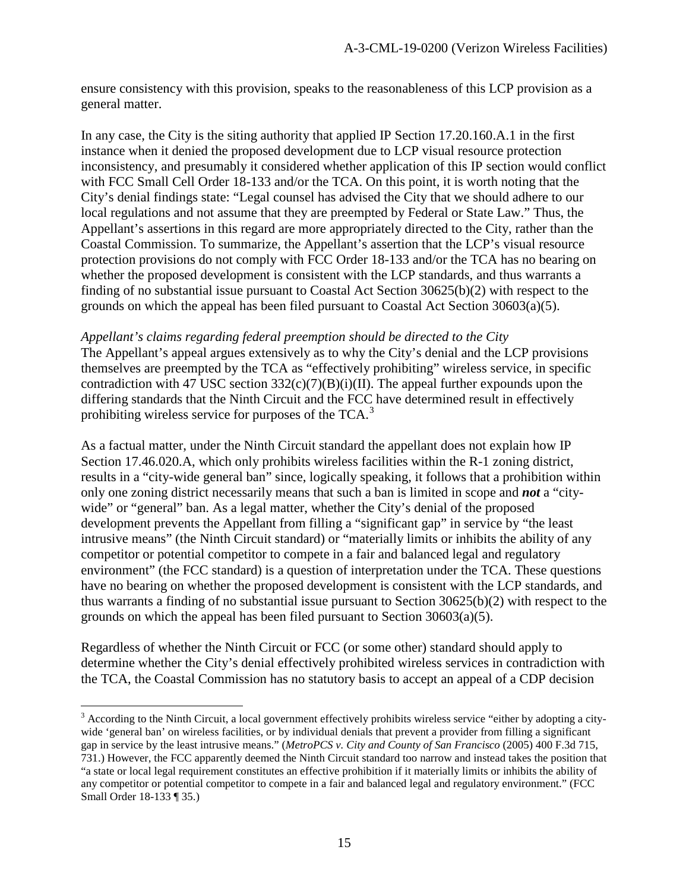ensure consistency with this provision, speaks to the reasonableness of this LCP provision as a general matter.

In any case, the City is the siting authority that applied IP Section 17.20.160.A.1 in the first instance when it denied the proposed development due to LCP visual resource protection inconsistency, and presumably it considered whether application of this IP section would conflict with FCC Small Cell Order 18-133 and/or the TCA. On this point, it is worth noting that the City's denial findings state: "Legal counsel has advised the City that we should adhere to our local regulations and not assume that they are preempted by Federal or State Law." Thus, the Appellant's assertions in this regard are more appropriately directed to the City, rather than the Coastal Commission. To summarize, the Appellant's assertion that the LCP's visual resource protection provisions do not comply with FCC Order 18-133 and/or the TCA has no bearing on whether the proposed development is consistent with the LCP standards, and thus warrants a finding of no substantial issue pursuant to Coastal Act Section 30625(b)(2) with respect to the grounds on which the appeal has been filed pursuant to Coastal Act Section 30603(a)(5).

*Appellant's claims regarding federal preemption should be directed to the City* The Appellant's appeal argues extensively as to why the City's denial and the LCP provisions themselves are preempted by the TCA as "effectively prohibiting" wireless service, in specific contradiction with 47 USC section  $332(c)(7)(B)(i)(II)$ . The appeal further expounds upon the differing standards that the Ninth Circuit and the FCC have determined result in effectively prohibiting wireless service for purposes of the TCA.<sup>[3](#page-14-0)</sup>

As a factual matter, under the Ninth Circuit standard the appellant does not explain how IP Section 17.46.020.A, which only prohibits wireless facilities within the R-1 zoning district, results in a "city-wide general ban" since, logically speaking, it follows that a prohibition within only one zoning district necessarily means that such a ban is limited in scope and *not* a "citywide" or "general" ban. As a legal matter, whether the City's denial of the proposed development prevents the Appellant from filling a "significant gap" in service by "the least intrusive means" (the Ninth Circuit standard) or "materially limits or inhibits the ability of any competitor or potential competitor to compete in a fair and balanced legal and regulatory environment" (the FCC standard) is a question of interpretation under the TCA. These questions have no bearing on whether the proposed development is consistent with the LCP standards, and thus warrants a finding of no substantial issue pursuant to Section 30625(b)(2) with respect to the grounds on which the appeal has been filed pursuant to Section 30603(a)(5).

Regardless of whether the Ninth Circuit or FCC (or some other) standard should apply to determine whether the City's denial effectively prohibited wireless services in contradiction with the TCA, the Coastal Commission has no statutory basis to accept an appeal of a CDP decision

<span id="page-14-0"></span><sup>&</sup>lt;sup>3</sup> According to the Ninth Circuit, a local government effectively prohibits wireless service "either by adopting a citywide 'general ban' on wireless facilities, or by individual denials that prevent a provider from filling a significant gap in service by the least intrusive means." (*MetroPCS v. City and County of San Francisco* (2005) 400 F.3d 715, 731.) However, the FCC apparently deemed the Ninth Circuit standard too narrow and instead takes the position that "a state or local legal requirement constitutes an effective prohibition if it materially limits or inhibits the ability of any competitor or potential competitor to compete in a fair and balanced legal and regulatory environment." (FCC Small Order 18-133 ¶ 35.)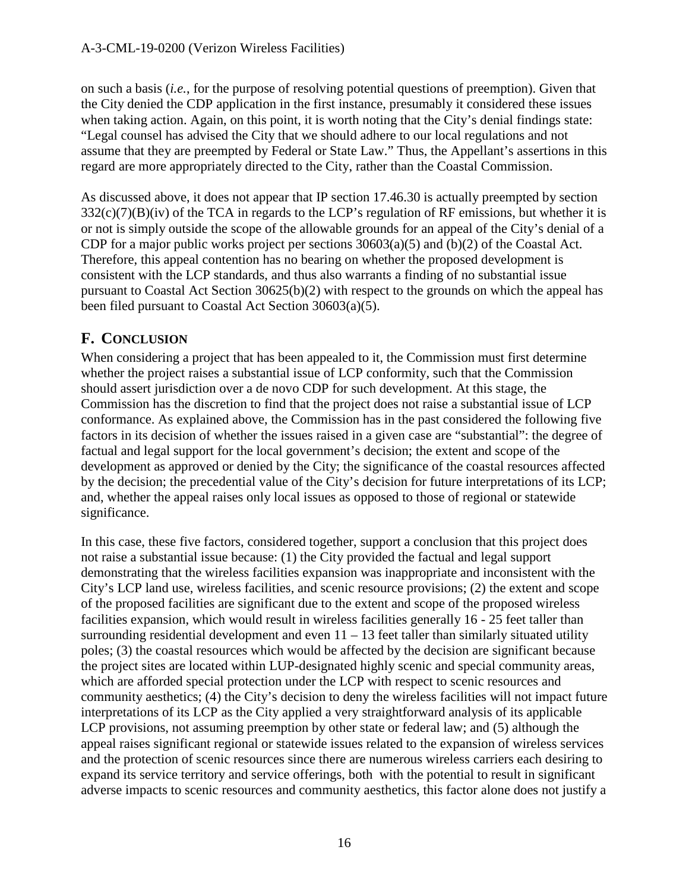on such a basis (*i.e.*, for the purpose of resolving potential questions of preemption). Given that the City denied the CDP application in the first instance, presumably it considered these issues when taking action. Again, on this point, it is worth noting that the City's denial findings state: "Legal counsel has advised the City that we should adhere to our local regulations and not assume that they are preempted by Federal or State Law." Thus, the Appellant's assertions in this regard are more appropriately directed to the City, rather than the Coastal Commission.

As discussed above, it does not appear that IP section 17.46.30 is actually preempted by section  $332(c)(7)(B)(iv)$  of the TCA in regards to the LCP's regulation of RF emissions, but whether it is or not is simply outside the scope of the allowable grounds for an appeal of the City's denial of a CDP for a major public works project per sections 30603(a)(5) and (b)(2) of the Coastal Act. Therefore, this appeal contention has no bearing on whether the proposed development is consistent with the LCP standards, and thus also warrants a finding of no substantial issue pursuant to Coastal Act Section 30625(b)(2) with respect to the grounds on which the appeal has been filed pursuant to Coastal Act Section 30603(a)(5).

# **F. CONCLUSION**

When considering a project that has been appealed to it, the Commission must first determine whether the project raises a substantial issue of LCP conformity, such that the Commission should assert jurisdiction over a de novo CDP for such development. At this stage, the Commission has the discretion to find that the project does not raise a substantial issue of LCP conformance. As explained above, the Commission has in the past considered the following five factors in its decision of whether the issues raised in a given case are "substantial": the degree of factual and legal support for the local government's decision; the extent and scope of the development as approved or denied by the City; the significance of the coastal resources affected by the decision; the precedential value of the City's decision for future interpretations of its LCP; and, whether the appeal raises only local issues as opposed to those of regional or statewide significance.

In this case, these five factors, considered together, support a conclusion that this project does not raise a substantial issue because: (1) the City provided the factual and legal support demonstrating that the wireless facilities expansion was inappropriate and inconsistent with the City's LCP land use, wireless facilities, and scenic resource provisions; (2) the extent and scope of the proposed facilities are significant due to the extent and scope of the proposed wireless facilities expansion, which would result in wireless facilities generally 16 - 25 feet taller than surrounding residential development and even  $11 - 13$  feet taller than similarly situated utility poles; (3) the coastal resources which would be affected by the decision are significant because the project sites are located within LUP-designated highly scenic and special community areas, which are afforded special protection under the LCP with respect to scenic resources and community aesthetics; (4) the City's decision to deny the wireless facilities will not impact future interpretations of its LCP as the City applied a very straightforward analysis of its applicable LCP provisions, not assuming preemption by other state or federal law; and (5) although the appeal raises significant regional or statewide issues related to the expansion of wireless services and the protection of scenic resources since there are numerous wireless carriers each desiring to expand its service territory and service offerings, both with the potential to result in significant adverse impacts to scenic resources and community aesthetics, this factor alone does not justify a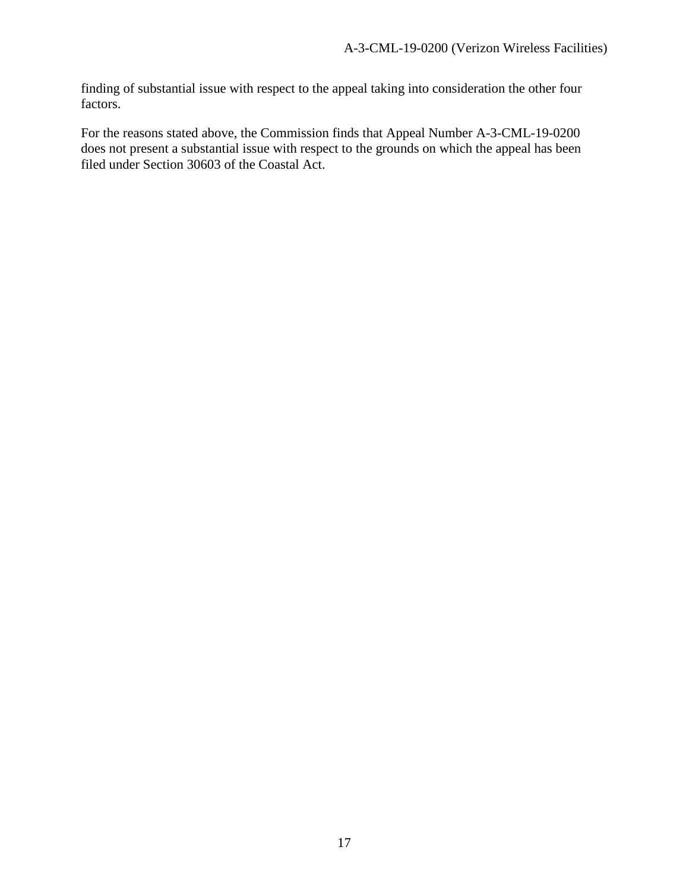finding of substantial issue with respect to the appeal taking into consideration the other four factors.

For the reasons stated above, the Commission finds that Appeal Number A-3-CML-19-0200 does not present a substantial issue with respect to the grounds on which the appeal has been filed under Section 30603 of the Coastal Act.